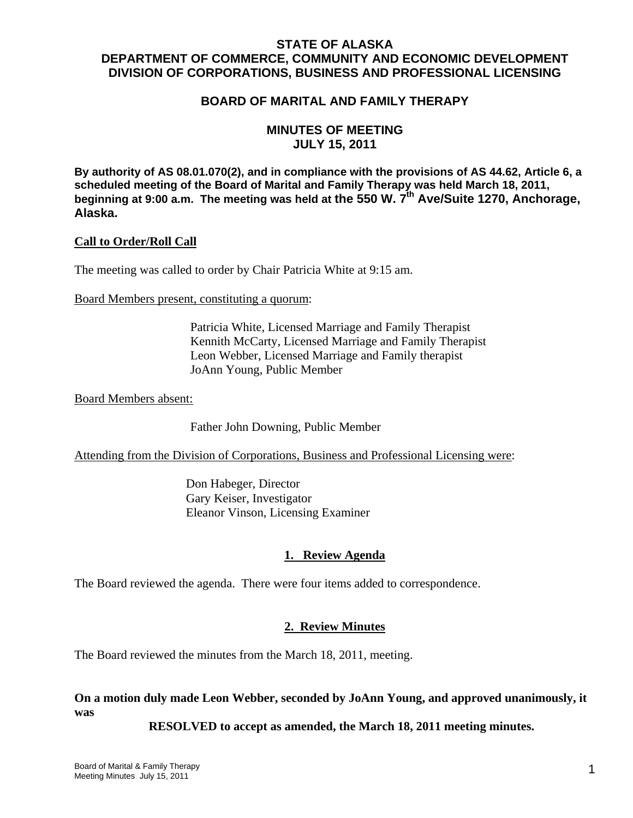# **STATE OF ALASKA DEPARTMENT OF COMMERCE, COMMUNITY AND ECONOMIC DEVELOPMENT DIVISION OF CORPORATIONS, BUSINESS AND PROFESSIONAL LICENSING**

# **BOARD OF MARITAL AND FAMILY THERAPY**

# **MINUTES OF MEETING JULY 15, 2011**

**By authority of AS 08.01.070(2), and in compliance with the provisions of AS 44.62, Article 6, a scheduled meeting of the Board of Marital and Family Therapy was held March 18, 2011,**  beginning at 9:00 a.m. The meeting was held at the 550 W. 7<sup>th</sup> Ave/Suite 1270, Anchorage, **Alaska.**

#### **Call to Order/Roll Call**

The meeting was called to order by Chair Patricia White at 9:15 am.

Board Members present, constituting a quorum:

 Patricia White, Licensed Marriage and Family Therapist Kennith McCarty, Licensed Marriage and Family Therapist Leon Webber, Licensed Marriage and Family therapist JoAnn Young, Public Member

Board Members absent:

Father John Downing, Public Member

Attending from the Division of Corporations, Business and Professional Licensing were:

 Don Habeger, Director Gary Keiser, Investigator Eleanor Vinson, Licensing Examiner

#### **1. Review Agenda**

The Board reviewed the agenda. There were four items added to correspondence.

#### **2. Review Minutes**

The Board reviewed the minutes from the March 18, 2011, meeting.

**On a motion duly made Leon Webber, seconded by JoAnn Young, and approved unanimously, it was** 

 **RESOLVED to accept as amended, the March 18, 2011 meeting minutes.**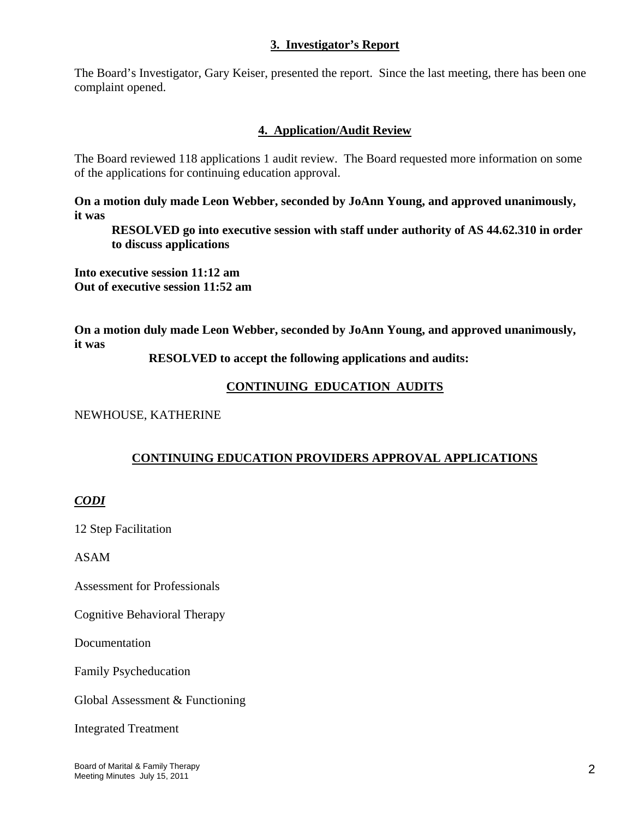### **3. Investigator's Report**

The Board's Investigator, Gary Keiser, presented the report. Since the last meeting, there has been one complaint opened.

# **4. Application/Audit Review**

The Board reviewed 118 applications 1 audit review. The Board requested more information on some of the applications for continuing education approval.

**On a motion duly made Leon Webber, seconded by JoAnn Young, and approved unanimously, it was** 

**RESOLVED go into executive session with staff under authority of AS 44.62.310 in order to discuss applications** 

**Into executive session 11:12 am Out of executive session 11:52 am** 

**On a motion duly made Leon Webber, seconded by JoAnn Young, and approved unanimously, it was** 

 **RESOLVED to accept the following applications and audits:**

# **CONTINUING EDUCATION AUDITS**

NEWHOUSE, KATHERINE

# **CONTINUING EDUCATION PROVIDERS APPROVAL APPLICATIONS**

# *CODI*

12 Step Facilitation

ASAM

Assessment for Professionals

Cognitive Behavioral Therapy

Documentation

Family Psycheducation

Global Assessment & Functioning

Integrated Treatment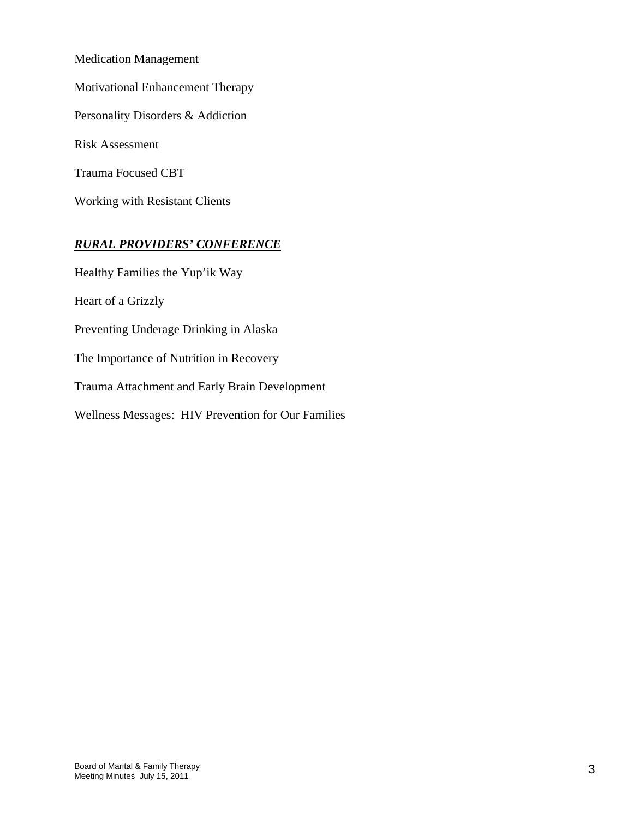Medication Management Motivational Enhancement Therapy Personality Disorders & Addiction Risk Assessment Trauma Focused CBT Working with Resistant Clients

# *RURAL PROVIDERS' CONFERENCE*

Healthy Families the Yup'ik Way Heart of a Grizzly Preventing Underage Drinking in Alaska The Importance of Nutrition in Recovery Trauma Attachment and Early Brain Development Wellness Messages: HIV Prevention for Our Families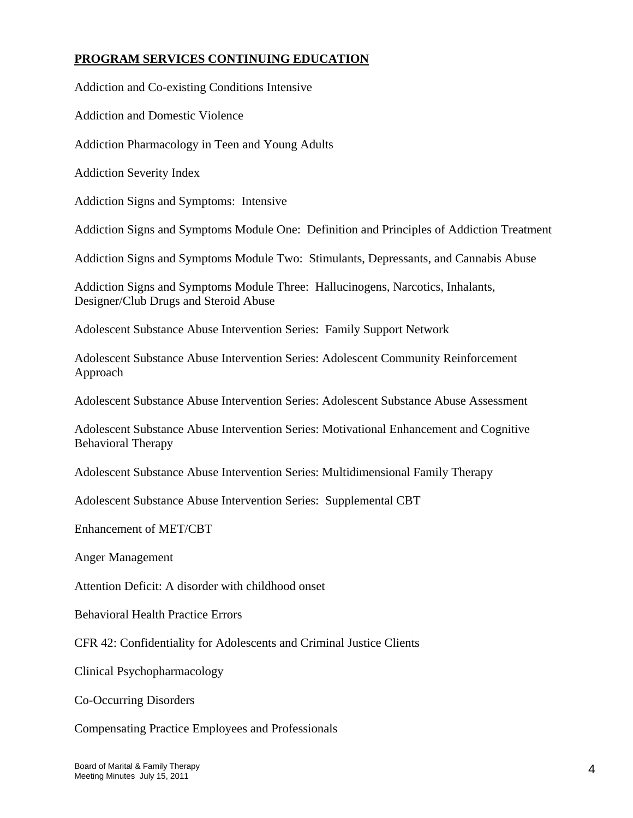# **PROGRAM SERVICES CONTINUING EDUCATION**

Addiction and Co-existing Conditions Intensive

Addiction and Domestic Violence

Addiction Pharmacology in Teen and Young Adults

Addiction Severity Index

Addiction Signs and Symptoms: Intensive

Addiction Signs and Symptoms Module One: Definition and Principles of Addiction Treatment

Addiction Signs and Symptoms Module Two: Stimulants, Depressants, and Cannabis Abuse

Addiction Signs and Symptoms Module Three: Hallucinogens, Narcotics, Inhalants, Designer/Club Drugs and Steroid Abuse

Adolescent Substance Abuse Intervention Series: Family Support Network

Adolescent Substance Abuse Intervention Series: Adolescent Community Reinforcement Approach

Adolescent Substance Abuse Intervention Series: Adolescent Substance Abuse Assessment

Adolescent Substance Abuse Intervention Series: Motivational Enhancement and Cognitive Behavioral Therapy

Adolescent Substance Abuse Intervention Series: Multidimensional Family Therapy

Adolescent Substance Abuse Intervention Series: Supplemental CBT

Enhancement of MET/CBT

Anger Management

Attention Deficit: A disorder with childhood onset

Behavioral Health Practice Errors

CFR 42: Confidentiality for Adolescents and Criminal Justice Clients

Clinical Psychopharmacology

Co-Occurring Disorders

Compensating Practice Employees and Professionals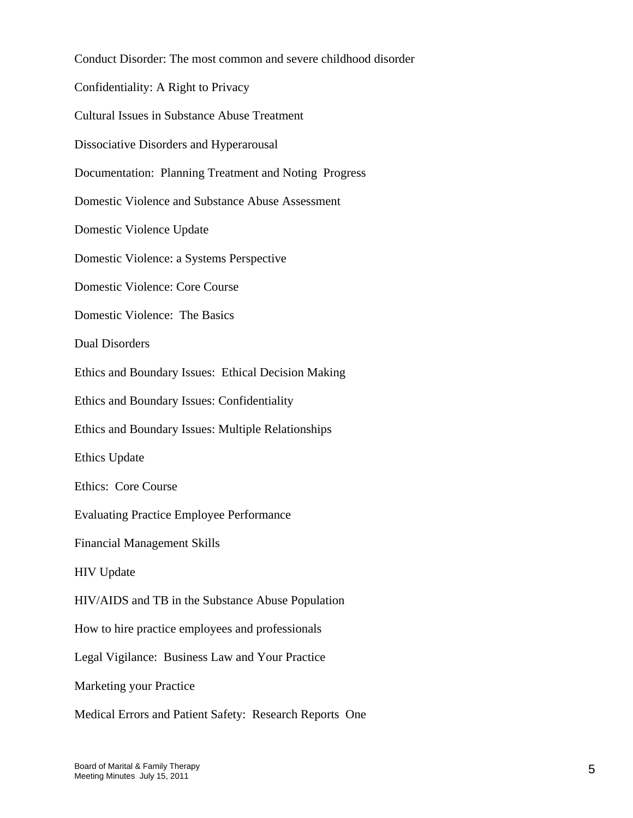Conduct Disorder: The most common and severe childhood disorder Confidentiality: A Right to Privacy Cultural Issues in Substance Abuse Treatment Dissociative Disorders and Hyperarousal Documentation: Planning Treatment and Noting Progress Domestic Violence and Substance Abuse Assessment Domestic Violence Update Domestic Violence: a Systems Perspective Domestic Violence: Core Course Domestic Violence: The Basics Dual Disorders Ethics and Boundary Issues: Ethical Decision Making Ethics and Boundary Issues: Confidentiality Ethics and Boundary Issues: Multiple Relationships Ethics Update Ethics: Core Course Evaluating Practice Employee Performance Financial Management Skills HIV Update HIV/AIDS and TB in the Substance Abuse Population How to hire practice employees and professionals Legal Vigilance: Business Law and Your Practice Marketing your Practice Medical Errors and Patient Safety: Research Reports One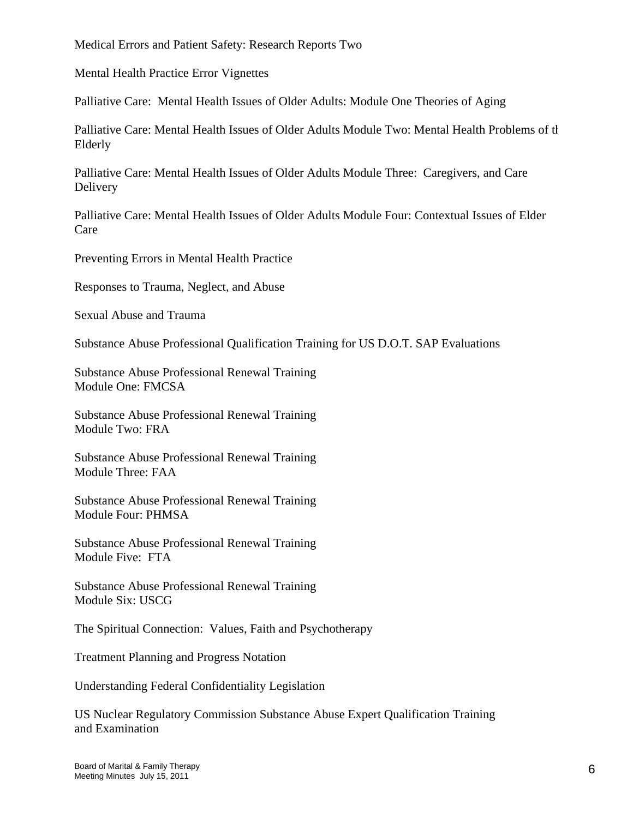Medical Errors and Patient Safety: Research Reports Two

Mental Health Practice Error Vignettes

Palliative Care: Mental Health Issues of Older Adults: Module One Theories of Aging

Palliative Care: Mental Health Issues of Older Adults Module Two: Mental Health Problems of th Elderly

Palliative Care: Mental Health Issues of Older Adults Module Three: Caregivers, and Care Delivery

Palliative Care: Mental Health Issues of Older Adults Module Four: Contextual Issues of Elder Care

Preventing Errors in Mental Health Practice

Responses to Trauma, Neglect, and Abuse

Sexual Abuse and Trauma

Substance Abuse Professional Qualification Training for US D.O.T. SAP Evaluations

Substance Abuse Professional Renewal Training Module One: FMCSA

Substance Abuse Professional Renewal Training Module Two: FRA

Substance Abuse Professional Renewal Training Module Three: FAA

Substance Abuse Professional Renewal Training Module Four: PHMSA

Substance Abuse Professional Renewal Training Module Five: FTA

Substance Abuse Professional Renewal Training Module Six: USCG

The Spiritual Connection: Values, Faith and Psychotherapy

Treatment Planning and Progress Notation

Understanding Federal Confidentiality Legislation

US Nuclear Regulatory Commission Substance Abuse Expert Qualification Training and Examination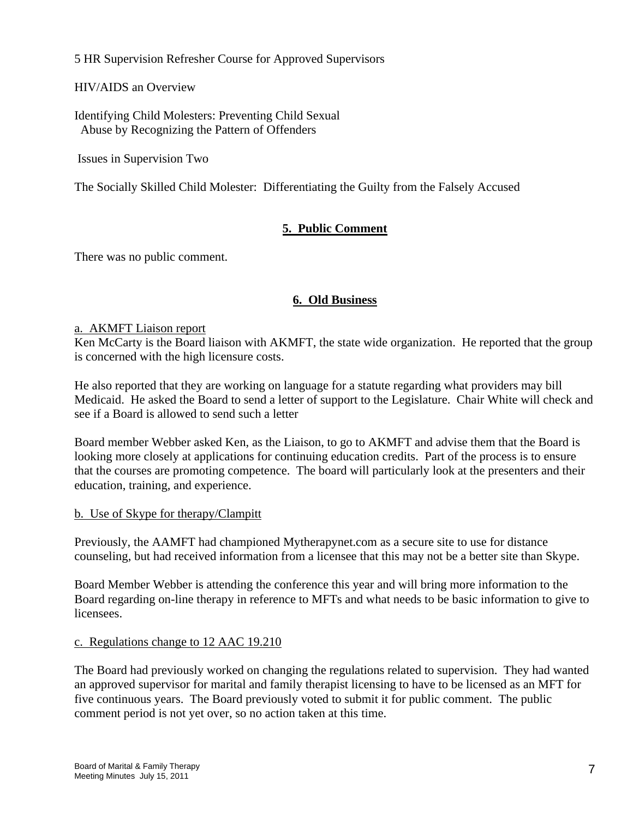5 HR Supervision Refresher Course for Approved Supervisors

HIV/AIDS an Overview

Identifying Child Molesters: Preventing Child Sexual Abuse by Recognizing the Pattern of Offenders

Issues in Supervision Two

The Socially Skilled Child Molester: Differentiating the Guilty from the Falsely Accused

# **5. Public Comment**

There was no public comment.

# **6. Old Business**

### a. AKMFT Liaison report

Ken McCarty is the Board liaison with AKMFT, the state wide organization. He reported that the group is concerned with the high licensure costs.

He also reported that they are working on language for a statute regarding what providers may bill Medicaid. He asked the Board to send a letter of support to the Legislature. Chair White will check and see if a Board is allowed to send such a letter

Board member Webber asked Ken, as the Liaison, to go to AKMFT and advise them that the Board is looking more closely at applications for continuing education credits. Part of the process is to ensure that the courses are promoting competence. The board will particularly look at the presenters and their education, training, and experience.

# b. Use of Skype for therapy/Clampitt

Previously, the AAMFT had championed Mytherapynet.com as a secure site to use for distance counseling, but had received information from a licensee that this may not be a better site than Skype.

Board Member Webber is attending the conference this year and will bring more information to the Board regarding on-line therapy in reference to MFTs and what needs to be basic information to give to licensees.

# c. Regulations change to 12 AAC 19.210

The Board had previously worked on changing the regulations related to supervision. They had wanted an approved supervisor for marital and family therapist licensing to have to be licensed as an MFT for five continuous years. The Board previously voted to submit it for public comment. The public comment period is not yet over, so no action taken at this time.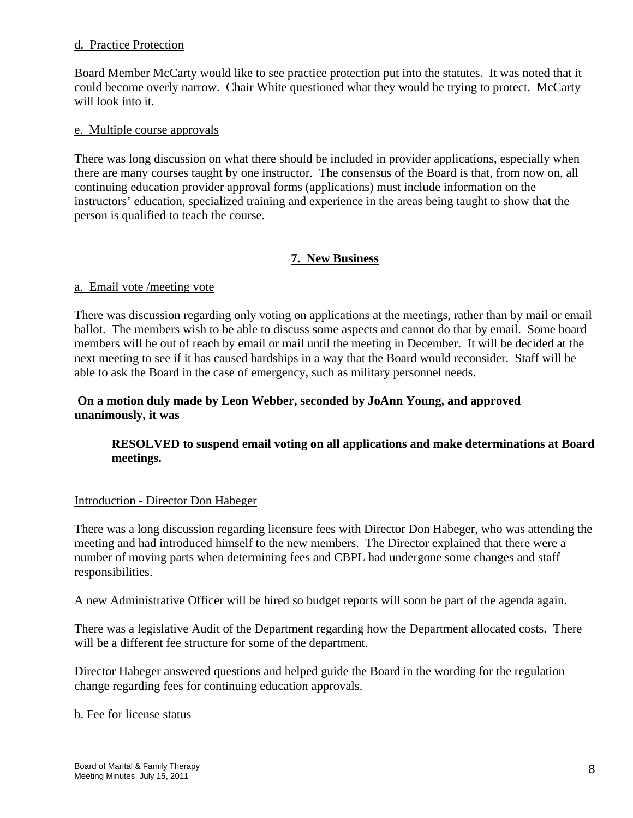#### d. Practice Protection

Board Member McCarty would like to see practice protection put into the statutes. It was noted that it could become overly narrow. Chair White questioned what they would be trying to protect. McCarty will look into it.

#### e. Multiple course approvals

There was long discussion on what there should be included in provider applications, especially when there are many courses taught by one instructor. The consensus of the Board is that, from now on, all continuing education provider approval forms (applications) must include information on the instructors' education, specialized training and experience in the areas being taught to show that the person is qualified to teach the course.

# **7. New Business**

#### a. Email vote /meeting vote

There was discussion regarding only voting on applications at the meetings, rather than by mail or email ballot. The members wish to be able to discuss some aspects and cannot do that by email. Some board members will be out of reach by email or mail until the meeting in December. It will be decided at the next meeting to see if it has caused hardships in a way that the Board would reconsider. Staff will be able to ask the Board in the case of emergency, such as military personnel needs.

## **On a motion duly made by Leon Webber, seconded by JoAnn Young, and approved unanimously, it was**

# **RESOLVED to suspend email voting on all applications and make determinations at Board meetings.**

#### Introduction - Director Don Habeger

There was a long discussion regarding licensure fees with Director Don Habeger, who was attending the meeting and had introduced himself to the new members. The Director explained that there were a number of moving parts when determining fees and CBPL had undergone some changes and staff responsibilities.

A new Administrative Officer will be hired so budget reports will soon be part of the agenda again.

There was a legislative Audit of the Department regarding how the Department allocated costs. There will be a different fee structure for some of the department.

Director Habeger answered questions and helped guide the Board in the wording for the regulation change regarding fees for continuing education approvals.

#### b. Fee for license status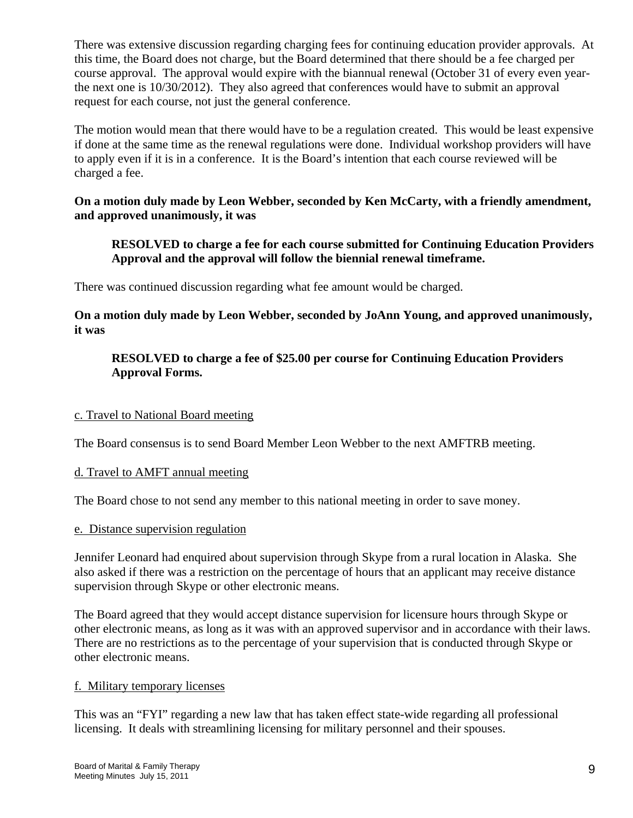There was extensive discussion regarding charging fees for continuing education provider approvals. At this time, the Board does not charge, but the Board determined that there should be a fee charged per course approval. The approval would expire with the biannual renewal (October 31 of every even yearthe next one is 10/30/2012). They also agreed that conferences would have to submit an approval request for each course, not just the general conference.

The motion would mean that there would have to be a regulation created. This would be least expensive if done at the same time as the renewal regulations were done. Individual workshop providers will have to apply even if it is in a conference. It is the Board's intention that each course reviewed will be charged a fee.

# **On a motion duly made by Leon Webber, seconded by Ken McCarty, with a friendly amendment, and approved unanimously, it was**

# **RESOLVED to charge a fee for each course submitted for Continuing Education Providers Approval and the approval will follow the biennial renewal timeframe.**

There was continued discussion regarding what fee amount would be charged.

**On a motion duly made by Leon Webber, seconded by JoAnn Young, and approved unanimously, it was** 

# **RESOLVED to charge a fee of \$25.00 per course for Continuing Education Providers Approval Forms.**

## c. Travel to National Board meeting

The Board consensus is to send Board Member Leon Webber to the next AMFTRB meeting.

#### d. Travel to AMFT annual meeting

The Board chose to not send any member to this national meeting in order to save money.

#### e. Distance supervision regulation

Jennifer Leonard had enquired about supervision through Skype from a rural location in Alaska. She also asked if there was a restriction on the percentage of hours that an applicant may receive distance supervision through Skype or other electronic means.

The Board agreed that they would accept distance supervision for licensure hours through Skype or other electronic means, as long as it was with an approved supervisor and in accordance with their laws. There are no restrictions as to the percentage of your supervision that is conducted through Skype or other electronic means.

#### f. Military temporary licenses

This was an "FYI" regarding a new law that has taken effect state-wide regarding all professional licensing. It deals with streamlining licensing for military personnel and their spouses.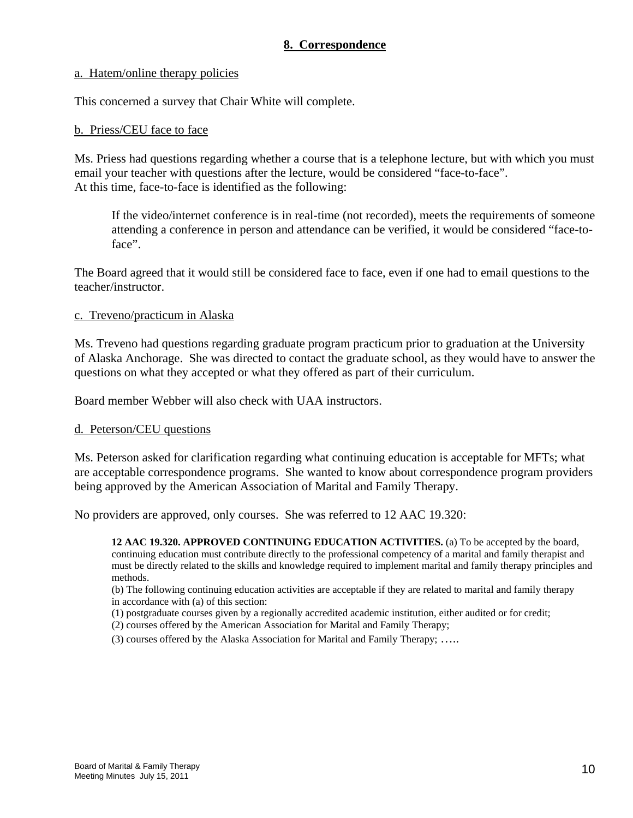# **8. Correspondence**

#### a. Hatem/online therapy policies

This concerned a survey that Chair White will complete.

#### b. Priess/CEU face to face

Ms. Priess had questions regarding whether a course that is a telephone lecture, but with which you must email your teacher with questions after the lecture, would be considered "face-to-face". At this time, face-to-face is identified as the following:

If the video/internet conference is in real-time (not recorded), meets the requirements of someone attending a conference in person and attendance can be verified, it would be considered "face-toface".

The Board agreed that it would still be considered face to face, even if one had to email questions to the teacher/instructor.

#### c. Treveno/practicum in Alaska

Ms. Treveno had questions regarding graduate program practicum prior to graduation at the University of Alaska Anchorage. She was directed to contact the graduate school, as they would have to answer the questions on what they accepted or what they offered as part of their curriculum.

Board member Webber will also check with UAA instructors.

#### d. Peterson/CEU questions

Ms. Peterson asked for clarification regarding what continuing education is acceptable for MFTs; what are acceptable correspondence programs. She wanted to know about correspondence program providers being approved by the American Association of Marital and Family Therapy.

No providers are approved, only courses. She was referred to 12 AAC 19.320:

**12 AAC 19.320. APPROVED CONTINUING EDUCATION ACTIVITIES.** (a) To be accepted by the board, continuing education must contribute directly to the professional competency of a marital and family therapist and must be directly related to the skills and knowledge required to implement marital and family therapy principles and methods.

(b) The following continuing education activities are acceptable if they are related to marital and family therapy in accordance with (a) of this section:

(1) postgraduate courses given by a regionally accredited academic institution, either audited or for credit;

(2) courses offered by the American Association for Marital and Family Therapy;

(3) courses offered by the Alaska Association for Marital and Family Therapy; …..